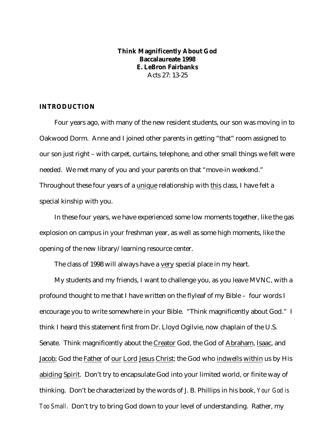#### **Think Magnificently About God Baccalaureate 1998 E. LeBron Fairbanks** Acts 27: 13-25

### **INTRODUCTION**

Four years ago, with many of the new resident students, our son was moving in to Oakwood Dorm. Anne and I joined other parents in getting "that" room assigned to our son just right – with carpet, curtains, telephone, and other small things we felt were needed. We met many of you and your parents on that "move-in weekend." Throughout these four years of a unique relationship with this class, I have felt a special kinship with you.

In these four years, we have experienced some low moments together, like the gas explosion on campus in your freshman year, as well as some high moments, like the opening of the new library/learning resource center.

The class of 1998 will always have a very special place in my heart.

My students and my friends, I want to challenge you, as you leave MVNC, with a profound thought to me that I have written on the flyleaf of my Bible – four words I encourage you to write somewhere in your Bible. "Think magnificently about God." I think I heard this statement first from Dr. Lloyd Ogilvie, now chaplain of the U.S. Senate. Think magnificently about the Creator God, the God of Abraham, Isaac, and Jacob; God the Father of our Lord Jesus Christ; the God who indwells within us by His abiding Spirit. Don't try to encapsulate God into your limited world, or finite way of thinking. Don't be characterized by the words of J. B. Phillips in his book, *Your God is Too Small*. Don't try to bring God down to your level of understanding. Rather, my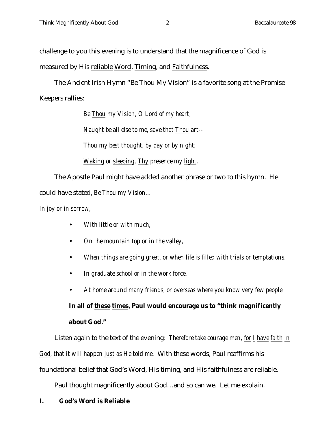challenge to you this evening is to understand that the magnificence of God is measured by His reliable Word, Timing, and Faithfulness.

The Ancient Irish Hymn "Be Thou My Vision" is a favorite song at the Promise Keepers rallies:

> *Be Thou my Vision, O Lord of my heart; Naught be all else to me, save that Thou art-- Thou my best thought, by day or by night; Waking or sleeping, Thy presence my light.*

The Apostle Paul might have added another phrase or two to this hymn. He could have stated, *Be Thou my Vision…*

*In joy or in sorrow,*

- *With little or with much,*
- *On the mountain top or in the valley,*
- *When things are going great, or when life is filled with trials or temptations.*
- *In graduate school or in the work force,*
- *At home around many friends, or overseas where you know very few people.*

# **In all of these times, Paul would encourage us to "think magnificently about God."**

Listen again to the text of the evening: *Therefore take courage men, for I have faith in God, that it will happen just as He told me.* With these words, Paul reaffirms his foundational belief that God's Word, His timing, and His faithfulness are reliable.

Paul thought magnificently about God…and so can we. Let me explain.

### **I. God's Word is Reliable**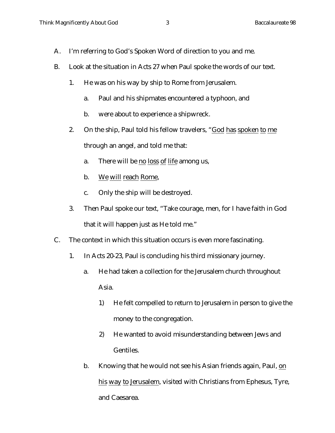- A. I'm referring to God's Spoken Word of direction to you and me.
- B. Look at the situation in Acts 27 when Paul spoke the words of our text.
	- 1. He was on his way by ship to Rome from Jerusalem.
		- a. Paul and his shipmates encountered a typhoon, and
		- b. were about to experience a shipwreck.
	- 2. On the ship, Paul told his fellow travelers, "God has spoken to me through an angel, and told me that:
		- a. There will be no loss of life among us,
		- b. We will reach Rome,
		- c. Only the ship will be destroyed.
	- 3. Then Paul spoke our text, "Take courage, men, for I have faith in God that it will happen just as He told me."
- C. The context in which this situation occurs is even more fascinating.
	- 1. In Acts 20-23, Paul is concluding his third missionary journey.
		- a. He had taken a collection for the Jerusalem church throughout Asia.
			- 1) He felt compelled to return to Jerusalem in person to give the money to the congregation.
			- 2) He wanted to avoid misunderstanding between Jews and Gentiles.
		- b. Knowing that he would not see his Asian friends again, Paul, on his way to Jerusalem, visited with Christians from Ephesus, Tyre, and Caesarea.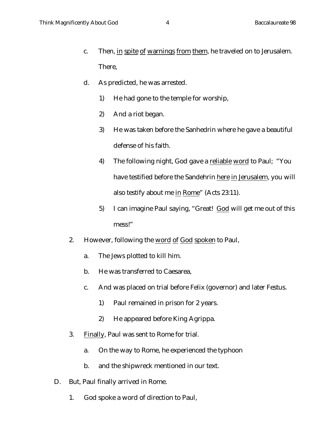- c. Then, in spite of warnings from them, he traveled on to Jerusalem. There,
- d. As predicted, he was arrested.
	- 1) He had gone to the temple for worship,
	- 2) And a riot began.
	- 3) He was taken before the Sanhedrin where he gave a beautiful defense of his faith.
	- 4) The following night, God gave a reliable word to Paul; "You have testified before the Sandehrin here in Jerusalem, you will also testify about me in Rome" (Acts 23:11).
	- 5) I can imagine Paul saying, "Great! God will get me out of this mess!"
- 2. However, following the word of God spoken to Paul,
	- a. The Jews plotted to kill him.
	- b. He was transferred to Caesarea,
	- c. And was placed on trial before Felix (governor) and later Festus.
		- 1) Paul remained in prison for 2 years.
		- 2) He appeared before King Agrippa.
- 3. Finally, Paul was sent to Rome for trial.
	- a. On the way to Rome, he experienced the typhoon
	- b. and the shipwreck mentioned in our text.
- D. But, Paul finally arrived in Rome.
	- 1. God spoke a word of direction to Paul,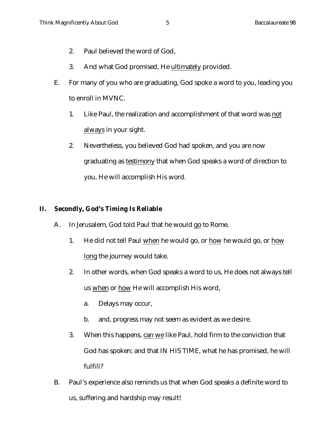- 2. Paul believed the word of God,
- 3. And what God promised, He ultimately provided.
- E. For many of you who are graduating, God spoke a word to you, leading you to enroll in MVNC.
	- 1. Like Paul, the realization and accomplishment of that word was not always in your sight.
	- 2. Nevertheless, you believed God had spoken, and you are now graduating as testimony that when God speaks a word of direction to you, He will accomplish His word.

## **II. Secondly, God's Timing Is Reliable**

- A. In Jerusalem, God told Paul that he would go to Rome.
	- 1. He did not tell Paul when he would go, or how he would go, or how long the journey would take.
	- 2. In other words, when God speaks a word to us, He does not always tell us when or how He will accomplish His word,
		- a. Delays may occur,
		- b. and, progress may not seem as evident as we desire.
	- 3. When this happens, can we like Paul, hold firm to the conviction that God has spoken; and that IN HIS TIME, what he has promised, he will fulfill?
- B. Paul's experience also reminds us that when God speaks a definite word to us, suffering and hardship may result!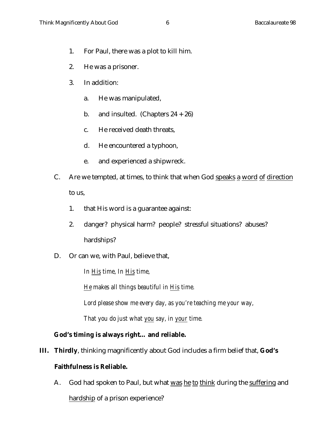- 1. For Paul, there was a plot to kill him.
- 2. He was a prisoner.
- 3. In addition:
	- a. He was manipulated,
	- b. and insulted. (Chapters  $24 + 26$ )
	- c. He received death threats,
	- d. He encountered a typhoon,
	- e. and experienced a shipwreck.
- C. Are we tempted, at times, to think that when God speaks a word of direction to us,
	- 1. that His word is a guarantee against:
	- 2. danger? physical harm? people? stressful situations? abuses? hardships?
- D. Or can we, with Paul, believe that,

*In His time, In His time,*

*He makes all things beautiful in His time.*

*Lord please show me every day, as you're teaching me your way,*

*That you do just what you say, in your time.*

### **God's timing is always right… and reliable.**

- **III. Thirdly**, thinking magnificently about God includes a firm belief that, **God's Faithfulness is Reliable.**
	- A. God had spoken to Paul, but what was he to think during the suffering and hardship of a prison experience?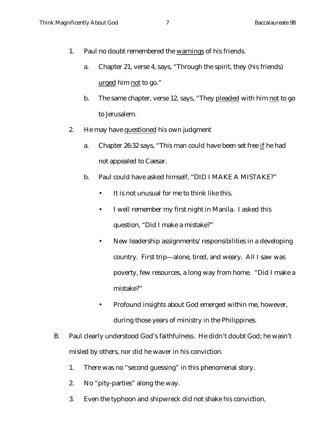- 1. Paul no doubt remembered the warnings of his friends.
	- a. Chapter 21, verse 4, says, "Through the spirit, they (his friends) urged him not to go."
	- b. The same chapter, verse 12, says, "They pleaded with him not to go to Jerusalem.
- 2. He may have questioned his own judgment
	- a. Chapter 26:32 says, "This man could have been set free if he had not appealed to Caesar.
	- b. Paul could have asked himself, "DID I MAKE A MISTAKE?"
		- It is not unusual for me to think like this.
		- I well remember my first night in Manila. I asked this question, "Did I make a mistake?"
		- New leadership assignments/responsibilities in a developing country. First trip—alone, tired, and weary. All I saw was poverty, few resources, a long way from home. "Did I make a mistake?"
		- Profound insights about God emerged within me, however, during those years of ministry in the Philippines.
- B. Paul clearly understood God's faithfulness. He didn't doubt God; he wasn't misled by others, nor did he waver in his conviction.
	- 1. There was no "second guessing" in this phenomenal story.
	- 2. No "pity-parties" along the way.
	- 3. Even the typhoon and shipwreck did not shake his conviction,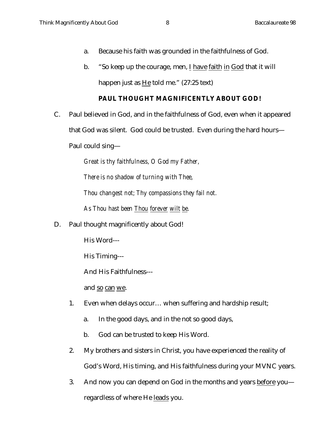- a. Because his faith was grounded in the faithfulness of God.
- b. "So keep up the courage, men, I have faith in God that it will happen just as He told me." (27:25 text)

### **PAUL THOUGHT MAGNIFICENTLY ABOUT GOD!**

C. Paul believed in God, and in the faithfulness of God, even when it appeared that God was silent. God could be trusted. Even during the hard hours— Paul could sing—

*Great is thy faithfulness, O God my Father,*

*There is no shadow of turning with Thee,*

*Thou changest not; Thy compassions they fail not.*

*As Thou hast been Thou forever wilt be.*

D. Paul thought magnificently about God!

His Word---

His Timing---

And His Faithfulness---

and so can we.

- 1. Even when delays occur… when suffering and hardship result;
	- a. In the good days, and in the not so good days,
	- b. God can be trusted to keep His Word.
- 2. My brothers and sisters in Christ, you have experienced the reality of God's Word, His timing, and His faithfulness during your MVNC years.
- 3. And now you can depend on God in the months and years before youregardless of where He leads you.